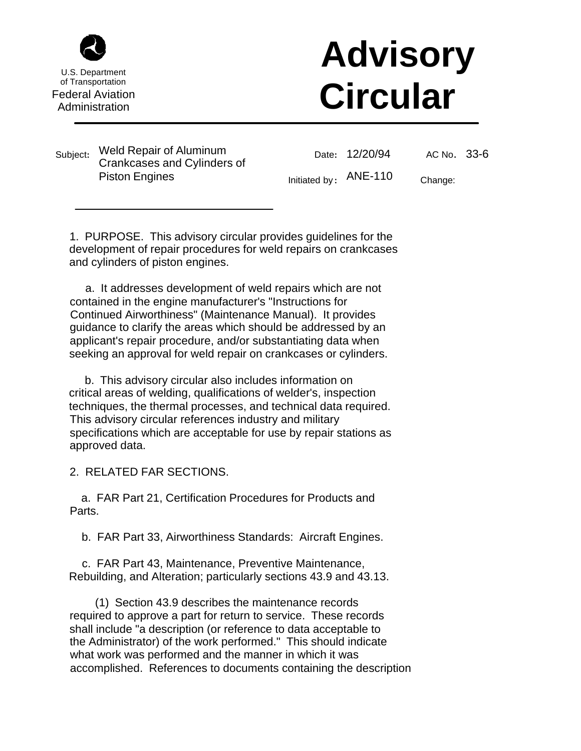

U.S. Department of Transportation Federal Aviation

## **Advisory Circular**<br> **Administration**<br> **Administration**

Subject**:** Weld Repair of Aluminum Crankcases and Cylinders of Piston Engines

Date**:**  12/20/94

AC No**.**  33-6

Initiated by **:**  ANE-110

Change:

1. PURPOSE. This advisory circular provides guidelines for the development of repair procedures for weld repairs on crankcases and cylinders of piston engines.

 a. It addresses development of weld repairs which are not contained in the engine manufacturer's "Instructions for Continued Airworthiness" (Maintenance Manual). It provides guidance to clarify the areas which should be addressed by an applicant's repair procedure, and/or substantiating data when seeking an approval for weld repair on crankcases or cylinders.

 b. This advisory circular also includes information on critical areas of welding, qualifications of welder's, inspection techniques, the thermal processes, and technical data required. This advisory circular references industry and military specifications which are acceptable for use by repair stations as approved data.

2. RELATED FAR SECTIONS.

 a. FAR Part 21, Certification Procedures for Products and Parts.

b. FAR Part 33, Airworthiness Standards: Aircraft Engines.

 c. FAR Part 43, Maintenance, Preventive Maintenance, Rebuilding, and Alteration; particularly sections 43.9 and 43.13.

 (1) Section 43.9 describes the maintenance records required to approve a part for return to service. These records shall include "a description (or reference to data acceptable to the Administrator) of the work performed." This should indicate what work was performed and the manner in which it was accomplished. References to documents containing the description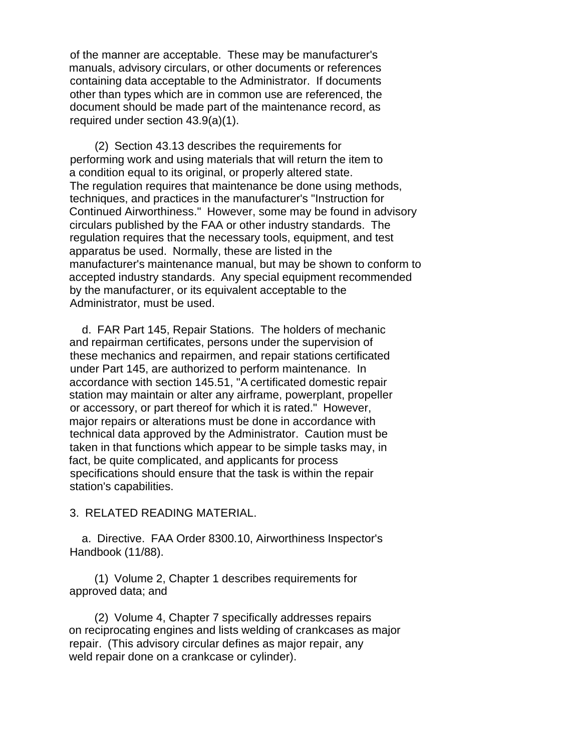of the manner are acceptable. These may be manufacturer's manuals, advisory circulars, or other documents or references containing data acceptable to the Administrator. If documents other than types which are in common use are referenced, the document should be made part of the maintenance record, as required under section 43.9(a)(1).

 (2) Section 43.13 describes the requirements for performing work and using materials that will return the item to a condition equal to its original, or properly altered state. The regulation requires that maintenance be done using methods, techniques, and practices in the manufacturer's "Instruction for Continued Airworthiness." However, some may be found in advisory circulars published by the FAA or other industry standards. The regulation requires that the necessary tools, equipment, and test apparatus be used. Normally, these are listed in the manufacturer's maintenance manual, but may be shown to conform to accepted industry standards. Any special equipment recommended by the manufacturer, or its equivalent acceptable to the Administrator, must be used.

 d. FAR Part 145, Repair Stations. The holders of mechanic and repairman certificates, persons under the supervision of these mechanics and repairmen, and repair stations certificated under Part 145, are authorized to perform maintenance. In accordance with section 145.51, "A certificated domestic repair station may maintain or alter any airframe, powerplant, propeller or accessory, or part thereof for which it is rated." However, major repairs or alterations must be done in accordance with technical data approved by the Administrator. Caution must be taken in that functions which appear to be simple tasks may, in fact, be quite complicated, and applicants for process specifications should ensure that the task is within the repair station's capabilities.

3. RELATED READING MATERIAL.

 a. Directive. FAA Order 8300.10, Airworthiness Inspector's Handbook (11/88).

 (1) Volume 2, Chapter 1 describes requirements for approved data; and

 (2) Volume 4, Chapter 7 specifically addresses repairs on reciprocating engines and lists welding of crankcases as major repair. (This advisory circular defines as major repair, any weld repair done on a crankcase or cylinder).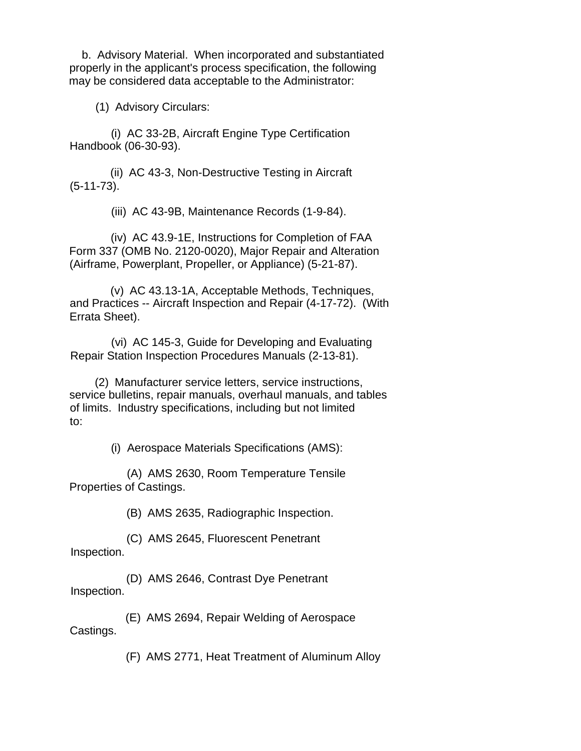b. Advisory Material. When incorporated and substantiated properly in the applicant's process specification, the following may be considered data acceptable to the Administrator:

(1) Advisory Circulars:

 (i) AC 33-2B, Aircraft Engine Type Certification Handbook (06-30-93).

 (ii) AC 43-3, Non-Destructive Testing in Aircraft (5-11-73).

(iii) AC 43-9B, Maintenance Records (1-9-84).

 (iv) AC 43.9-1E, Instructions for Completion of FAA Form 337 (OMB No. 2120-0020), Major Repair and Alteration (Airframe, Powerplant, Propeller, or Appliance) (5-21-87).

 (v) AC 43.13-1A, Acceptable Methods, Techniques, and Practices -- Aircraft Inspection and Repair (4-17-72). (With Errata Sheet).

 (vi) AC 145-3, Guide for Developing and Evaluating Repair Station Inspection Procedures Manuals (2-13-81).

 (2) Manufacturer service letters, service instructions, service bulletins, repair manuals, overhaul manuals, and tables of limits. Industry specifications, including but not limited to:

(i) Aerospace Materials Specifications (AMS):

 (A) AMS 2630, Room Temperature Tensile Properties of Castings.

(B) AMS 2635, Radiographic Inspection.

 (C) AMS 2645, Fluorescent Penetrant Inspection.

 (D) AMS 2646, Contrast Dye Penetrant Inspection.

 (E) AMS 2694, Repair Welding of Aerospace Castings.

(F) AMS 2771, Heat Treatment of Aluminum Alloy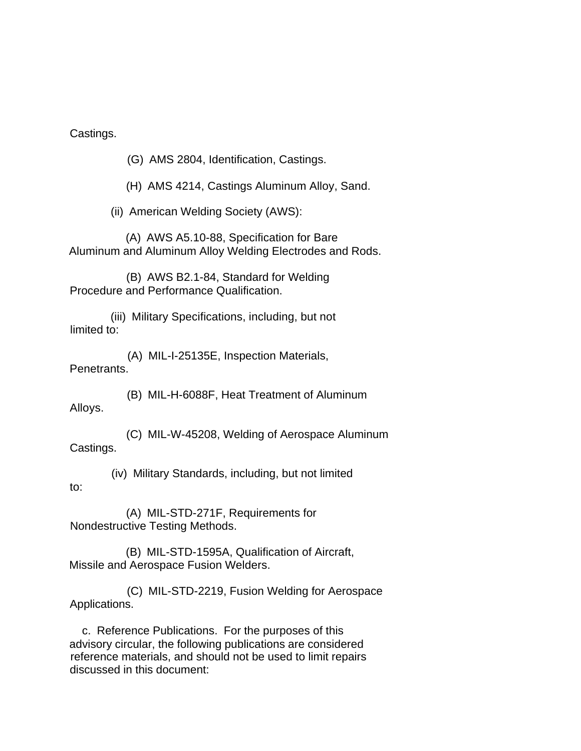Castings.

(G) AMS 2804, Identification, Castings.

(H) AMS 4214, Castings Aluminum Alloy, Sand.

(ii) American Welding Society (AWS):

 (A) AWS A5.10-88, Specification for Bare Aluminum and Aluminum Alloy Welding Electrodes and Rods.

 (B) AWS B2.1-84, Standard for Welding Procedure and Performance Qualification.

 (iii) Military Specifications, including, but not limited to:

 (A) MIL-I-25135E, Inspection Materials, Penetrants.

 (B) MIL-H-6088F, Heat Treatment of Aluminum Alloys.

 (C) MIL-W-45208, Welding of Aerospace Aluminum Castings.

 (iv) Military Standards, including, but not limited to:

 (A) MIL-STD-271F, Requirements for Nondestructive Testing Methods.

 (B) MIL-STD-1595A, Qualification of Aircraft, Missile and Aerospace Fusion Welders.

 (C) MIL-STD-2219, Fusion Welding for Aerospace Applications.

 c. Reference Publications. For the purposes of this advisory circular, the following publications are considered reference materials, and should not be used to limit repairs discussed in this document: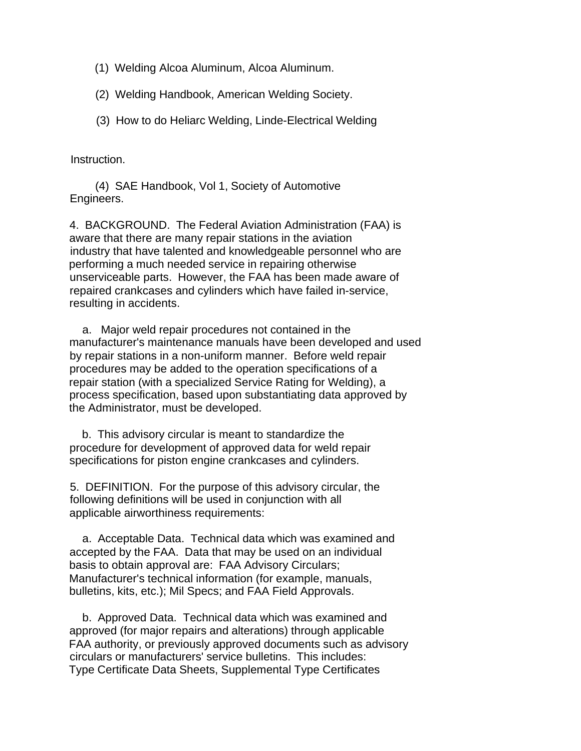- (1) Welding Alcoa Aluminum, Alcoa Aluminum.
- (2) Welding Handbook, American Welding Society.
- (3) How to do Heliarc Welding, Linde-Electrical Welding

Instruction.

 (4) SAE Handbook, Vol 1, Society of Automotive Engineers.

 4. BACKGROUND. The Federal Aviation Administration (FAA) is aware that there are many repair stations in the aviation industry that have talented and knowledgeable personnel who are performing a much needed service in repairing otherwise unserviceable parts. However, the FAA has been made aware of repaired crankcases and cylinders which have failed in-service, resulting in accidents.

 a. Major weld repair procedures not contained in the manufacturer's maintenance manuals have been developed and used by repair stations in a non-uniform manner. Before weld repair procedures may be added to the operation specifications of a repair station (with a specialized Service Rating for Welding), a process specification, based upon substantiating data approved by the Administrator, must be developed.

 b. This advisory circular is meant to standardize the procedure for development of approved data for weld repair specifications for piston engine crankcases and cylinders.

 5. DEFINITION. For the purpose of this advisory circular, the following definitions will be used in conjunction with all applicable airworthiness requirements:

 a. Acceptable Data. Technical data which was examined and accepted by the FAA. Data that may be used on an individual basis to obtain approval are: FAA Advisory Circulars; Manufacturer's technical information (for example, manuals, bulletins, kits, etc.); Mil Specs; and FAA Field Approvals.

 b. Approved Data. Technical data which was examined and approved (for major repairs and alterations) through applicable FAA authority, or previously approved documents such as advisory circulars or manufacturers' service bulletins. This includes: Type Certificate Data Sheets, Supplemental Type Certificates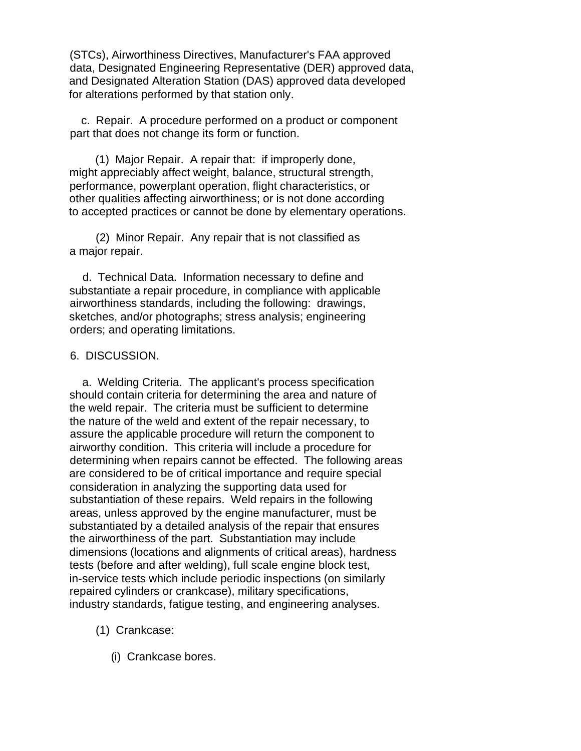(STCs), Airworthiness Directives, Manufacturer's FAA approved data, Designated Engineering Representative (DER) approved data, and Designated Alteration Station (DAS) approved data developed for alterations performed by that station only.

 c. Repair. A procedure performed on a product or component part that does not change its form or function.

 (1) Major Repair. A repair that: if improperly done, might appreciably affect weight, balance, structural strength, performance, powerplant operation, flight characteristics, or other qualities affecting airworthiness; or is not done according to accepted practices or cannot be done by elementary operations.

 (2) Minor Repair. Any repair that is not classified as a major repair.

 d. Technical Data. Information necessary to define and substantiate a repair procedure, in compliance with applicable airworthiness standards, including the following: drawings, sketches, and/or photographs; stress analysis; engineering orders; and operating limitations.

## 6. DISCUSSION.

 a. Welding Criteria. The applicant's process specification should contain criteria for determining the area and nature of the weld repair. The criteria must be sufficient to determine the nature of the weld and extent of the repair necessary, to assure the applicable procedure will return the component to airworthy condition. This criteria will include a procedure for determining when repairs cannot be effected. The following areas are considered to be of critical importance and require special consideration in analyzing the supporting data used for substantiation of these repairs. Weld repairs in the following areas, unless approved by the engine manufacturer, must be substantiated by a detailed analysis of the repair that ensures the airworthiness of the part. Substantiation may include dimensions (locations and alignments of critical areas), hardness tests (before and after welding), full scale engine block test, in-service tests which include periodic inspections (on similarly repaired cylinders or crankcase), military specifications, industry standards, fatigue testing, and engineering analyses.

(1) Crankcase:

(i) Crankcase bores.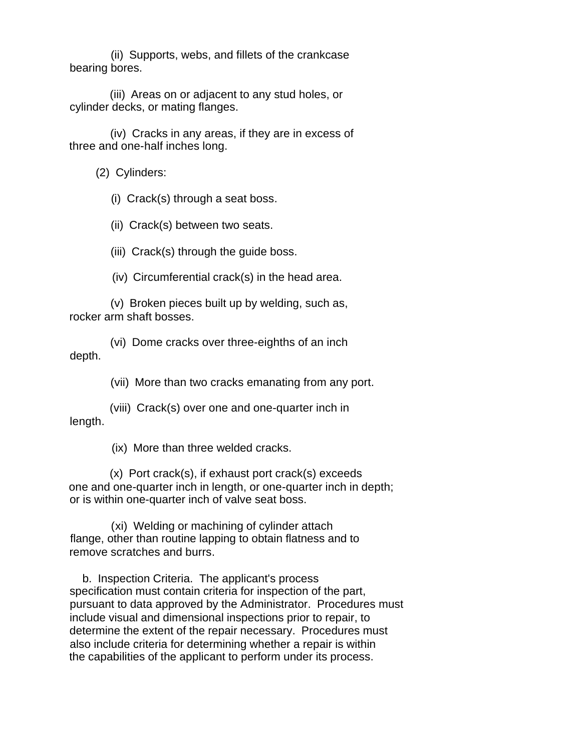(ii) Supports, webs, and fillets of the crankcase bearing bores.

 (iii) Areas on or adjacent to any stud holes, or cylinder decks, or mating flanges.

 (iv) Cracks in any areas, if they are in excess of three and one-half inches long.

(2) Cylinders:

(i) Crack(s) through a seat boss.

(ii) Crack(s) between two seats.

(iii) Crack(s) through the guide boss.

(iv) Circumferential crack(s) in the head area.

 (v) Broken pieces built up by welding, such as, rocker arm shaft bosses.

 (vi) Dome cracks over three-eighths of an inch depth.

(vii) More than two cracks emanating from any port.

 (viii) Crack(s) over one and one-quarter inch in length.

(ix) More than three welded cracks.

 (x) Port crack(s), if exhaust port crack(s) exceeds one and one-quarter inch in length, or one-quarter inch in depth; or is within one-quarter inch of valve seat boss.

 (xi) Welding or machining of cylinder attach flange, other than routine lapping to obtain flatness and to remove scratches and burrs.

 b. Inspection Criteria. The applicant's process specification must contain criteria for inspection of the part, pursuant to data approved by the Administrator. Procedures must include visual and dimensional inspections prior to repair, to determine the extent of the repair necessary. Procedures must also include criteria for determining whether a repair is within the capabilities of the applicant to perform under its process.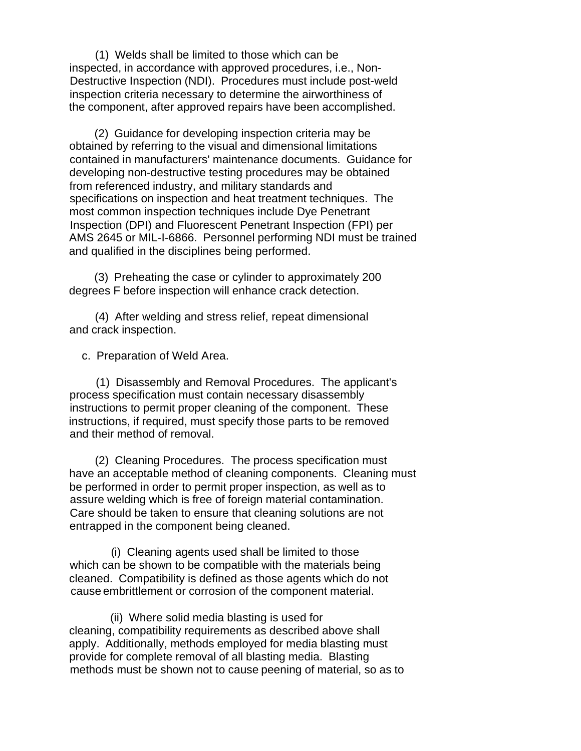(1) Welds shall be limited to those which can be inspected, in accordance with approved procedures, i.e., Non-Destructive Inspection (NDI). Procedures must include post-weld inspection criteria necessary to determine the airworthiness of the component, after approved repairs have been accomplished.

 (2) Guidance for developing inspection criteria may be obtained by referring to the visual and dimensional limitations contained in manufacturers' maintenance documents. Guidance for developing non-destructive testing procedures may be obtained from referenced industry, and military standards and specifications on inspection and heat treatment techniques. The most common inspection techniques include Dye Penetrant Inspection (DPI) and Fluorescent Penetrant Inspection (FPI) per AMS 2645 or MIL-I-6866. Personnel performing NDI must be trained and qualified in the disciplines being performed.

 (3) Preheating the case or cylinder to approximately 200 degrees F before inspection will enhance crack detection.

 (4) After welding and stress relief, repeat dimensional and crack inspection.

c. Preparation of Weld Area.

 (1) Disassembly and Removal Procedures. The applicant's process specification must contain necessary disassembly instructions to permit proper cleaning of the component. These instructions, if required, must specify those parts to be removed and their method of removal.

 (2) Cleaning Procedures. The process specification must have an acceptable method of cleaning components. Cleaning must be performed in order to permit proper inspection, as well as to assure welding which is free of foreign material contamination. Care should be taken to ensure that cleaning solutions are not entrapped in the component being cleaned.

 (i) Cleaning agents used shall be limited to those which can be shown to be compatible with the materials being cleaned. Compatibility is defined as those agents which do not cause embrittlement or corrosion of the component material.

 (ii) Where solid media blasting is used for cleaning, compatibility requirements as described above shall apply. Additionally, methods employed for media blasting must provide for complete removal of all blasting media. Blasting methods must be shown not to cause peening of material, so as to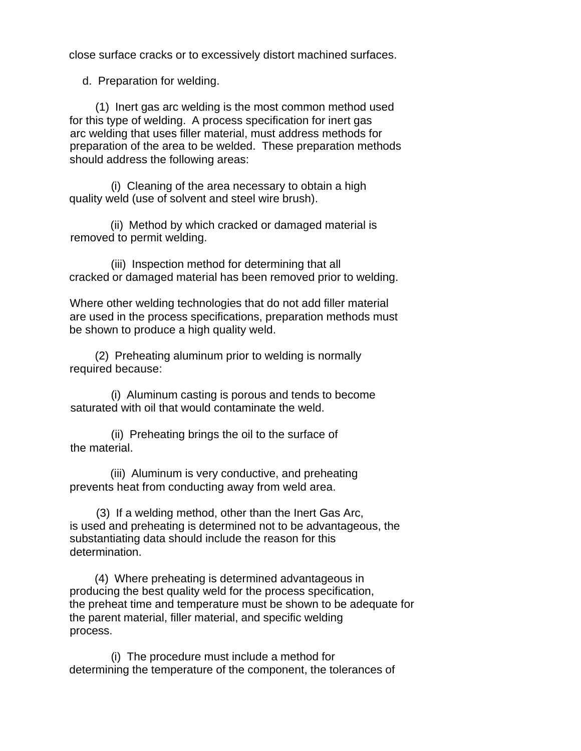close surface cracks or to excessively distort machined surfaces.

d. Preparation for welding.

 (1) Inert gas arc welding is the most common method used for this type of welding. A process specification for inert gas arc welding that uses filler material, must address methods for preparation of the area to be welded. These preparation methods should address the following areas:

 (i) Cleaning of the area necessary to obtain a high quality weld (use of solvent and steel wire brush).

 (ii) Method by which cracked or damaged material is removed to permit welding.

 (iii) Inspection method for determining that all cracked or damaged material has been removed prior to welding.

 Where other welding technologies that do not add filler material are used in the process specifications, preparation methods must be shown to produce a high quality weld.

 (2) Preheating aluminum prior to welding is normally required because:

 (i) Aluminum casting is porous and tends to become saturated with oil that would contaminate the weld.

 (ii) Preheating brings the oil to the surface of the material.

 (iii) Aluminum is very conductive, and preheating prevents heat from conducting away from weld area.

 (3) If a welding method, other than the Inert Gas Arc, is used and preheating is determined not to be advantageous, the substantiating data should include the reason for this determination.

 (4) Where preheating is determined advantageous in producing the best quality weld for the process specification, the preheat time and temperature must be shown to be adequate for the parent material, filler material, and specific welding process.

 (i) The procedure must include a method for determining the temperature of the component, the tolerances of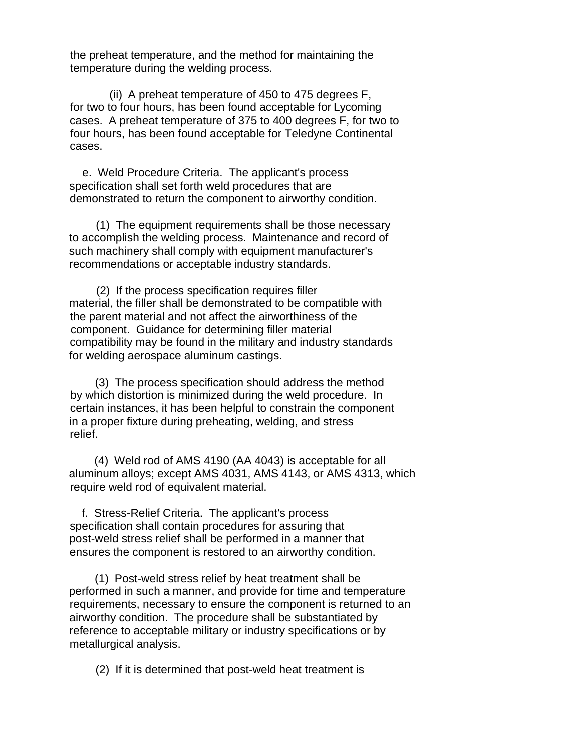the preheat temperature, and the method for maintaining the temperature during the welding process.

 (ii) A preheat temperature of 450 to 475 degrees F, for two to four hours, has been found acceptable for Lycoming cases. A preheat temperature of 375 to 400 degrees F, for two to four hours, has been found acceptable for Teledyne Continental cases.

 e. Weld Procedure Criteria. The applicant's process specification shall set forth weld procedures that are demonstrated to return the component to airworthy condition.

 (1) The equipment requirements shall be those necessary to accomplish the welding process. Maintenance and record of such machinery shall comply with equipment manufacturer's recommendations or acceptable industry standards.

 (2) If the process specification requires filler material, the filler shall be demonstrated to be compatible with the parent material and not affect the airworthiness of the component. Guidance for determining filler material compatibility may be found in the military and industry standards for welding aerospace aluminum castings.

 (3) The process specification should address the method by which distortion is minimized during the weld procedure. In certain instances, it has been helpful to constrain the component in a proper fixture during preheating, welding, and stress relief.

 (4) Weld rod of AMS 4190 (AA 4043) is acceptable for all aluminum alloys; except AMS 4031, AMS 4143, or AMS 4313, which require weld rod of equivalent material.

 f. Stress-Relief Criteria. The applicant's process specification shall contain procedures for assuring that post-weld stress relief shall be performed in a manner that ensures the component is restored to an airworthy condition.

 (1) Post-weld stress relief by heat treatment shall be performed in such a manner, and provide for time and temperature requirements, necessary to ensure the component is returned to an airworthy condition. The procedure shall be substantiated by reference to acceptable military or industry specifications or by metallurgical analysis.

(2) If it is determined that post-weld heat treatment is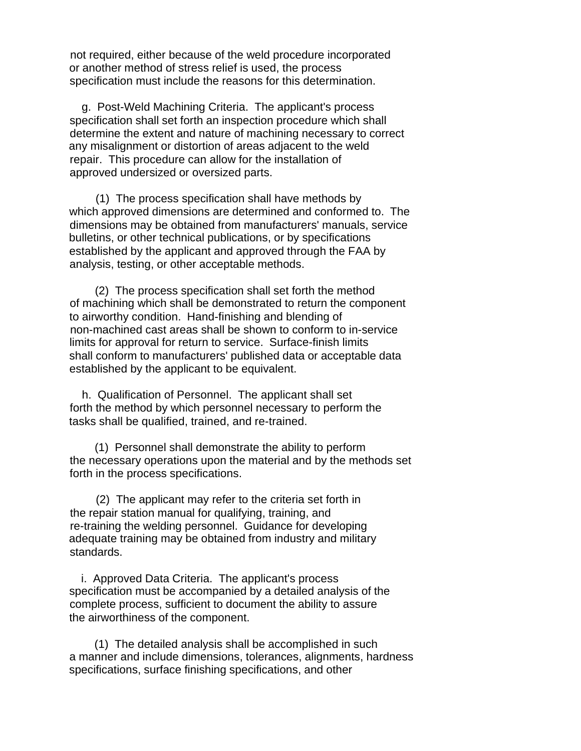not required, either because of the weld procedure incorporated or another method of stress relief is used, the process specification must include the reasons for this determination.

g. Post-Weld Machining Criteria. The applicant's process specification shall set forth an inspection procedure which shall determine the extent and nature of machining necessary to correct any misalignment or distortion of areas adjacent to the weld repair. This procedure can allow for the installation of approved undersized or oversized parts.

(1) The process specification shall have methods by which approved dimensions are determined and conformed to. The dimensions may be obtained from manufacturers' manuals, service bulletins, or other technical publications, or by specifications established by the applicant and approved through the FAA by analysis, testing, or other acceptable methods.

(2) The process specification shall set forth the method of machining which shall be demonstrated to return the component to airworthy condition. Hand-finishing and blending of non-machined cast areas shall be shown to conform to in-service limits for approval for return to service. Surface-finish limits shall conform to manufacturers' published data or acceptable data established by the applicant to be equivalent.

h. Qualification of Personnel. The applicant shall set forth the method by which personnel necessary to perform the tasks shall be qualified, trained, and re-trained.

(1) Personnel shall demonstrate the ability to perform the necessary operations upon the material and by the methods set forth in the process specifications.

(2) The applicant may refer to the criteria set forth in the repair station manual for qualifying, training, and re-training the welding personnel. Guidance for developing adequate training may be obtained from industry and military standards.

i. Approved Data Criteria. The applicant's process specification must be accompanied by a detailed analysis of the complete process, sufficient to document the ability to assure the airworthiness of the component.

(1) The detailed analysis shall be accomplished in such a manner and include dimensions, tolerances, alignments, hardness specifications, surface finishing specifications, and other